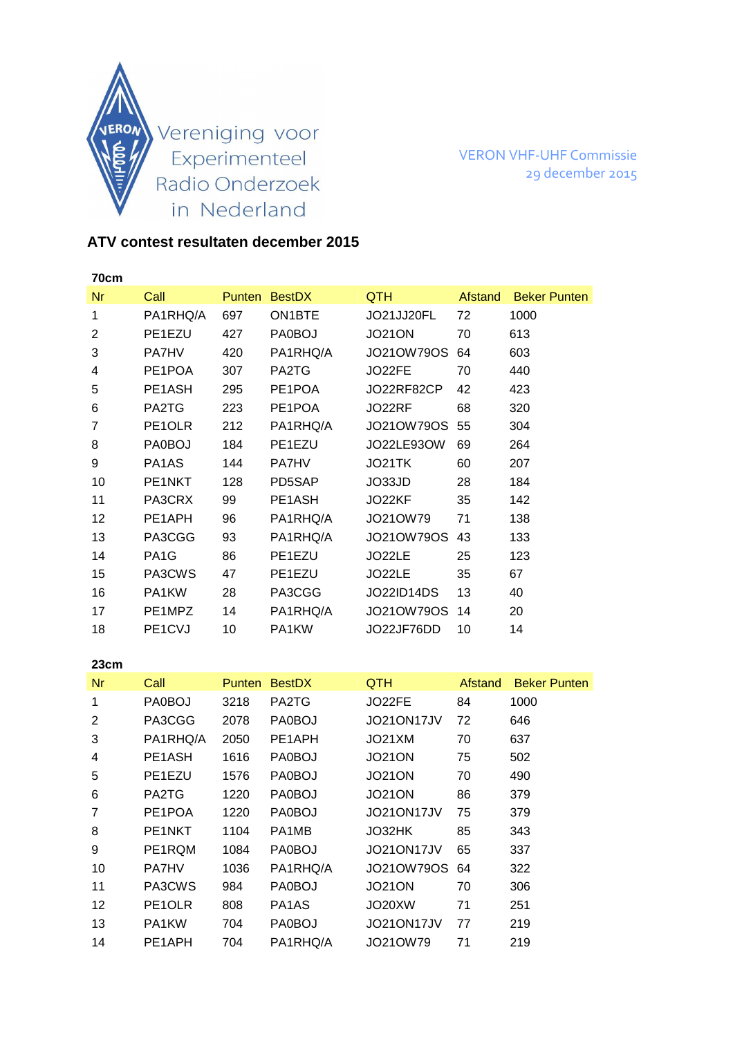

VERON VHF-UHF Commissie 29 december 2015

## **ATV contest resultaten december 2015**

| 70cm |                                  |               |                     |                   |         |                     |
|------|----------------------------------|---------------|---------------------|-------------------|---------|---------------------|
| Nr   | Call                             | <b>Punten</b> | <b>BestDX</b>       | QTH               | Afstand | <b>Beker Punten</b> |
| 1    | PA1RHQ/A                         | 697           | ON <sub>1</sub> BTE | JO21JJ20FL        | 72      | 1000                |
| 2    | PE1EZU                           | 427           | PA0BOJ              | <b>JO21ON</b>     | 70      | 613                 |
| 3    | <b>PA7HV</b>                     | 420           | PA1RHQ/A            | JO21OW79OS        | 64      | 603                 |
| 4    | PE1POA                           | 307           | PA2TG               | JO22FE            | 70      | 440                 |
| 5    | PE <sub>1</sub> A <sub>SH</sub>  | 295           | PE1POA              | JO22RF82CP        | 42      | 423                 |
| 6    | PA2TG                            | 223           | PE1POA              | JO22RF            | 68      | 320                 |
| 7    | PE1OLR                           | 212           | PA1RHQ/A            | JO21OW79OS        | 55      | 304                 |
| 8    | PA0BOJ                           | 184           | PE1EZU              | JO22LE930W        | 69      | 264                 |
| 9    | PA <sub>1</sub> A <sub>S</sub>   | 144           | <b>PA7HV</b>        | JO21TK            | 60      | 207                 |
| 10   | PE <sub>1</sub> NKT              | 128           | PD5SAP              | JO33JD            | 28      | 184                 |
| 11   | PA3CRX                           | 99            | PE1ASH              | JO22KF            | 35      | 142                 |
| 12   | PE1APH                           | 96            | PA1RHQ/A            | JO21OW79          | 71      | 138                 |
| 13   | PA3CGG                           | 93            | PA1RHQ/A            | JO21OW79OS        | 43      | 133                 |
| 14   | PA <sub>1</sub> G                | 86            | PE1EZU              | JO22LE            | 25      | 123                 |
| 15   | PA3CWS                           | 47            | PE1EZU              | JO22LE            | 35      | 67                  |
| 16   | PA1KW                            | 28            | PA3CGG              | <b>JO22ID14DS</b> | 13      | 40                  |
| 17   | PE1MPZ                           | 14            | PA1RHQ/A            | JO21OW79OS        | 14      | 20                  |
| 18   | PE <sub>1</sub> C <sub>V</sub> J | 10            | PA1KW               | JO22JF76DD        | 10      | 14                  |

| 23cm           |                     |               |                                |               |         |                     |
|----------------|---------------------|---------------|--------------------------------|---------------|---------|---------------------|
| Nr             | Call                | <b>Punten</b> | <b>BestDX</b>                  | <b>QTH</b>    | Afstand | <b>Beker Punten</b> |
| 1              | PA0BOJ              | 3218          | PA2TG                          | JO22FE        | 84      | 1000                |
| $\overline{2}$ | PA3CGG              | 2078          | <b>PA0BOJ</b>                  | JO21ON17JV    | 72      | 646                 |
| 3              | PA1RHQ/A            | 2050          | PE1APH                         | JO21XM        | 70      | 637                 |
| 4              | PE1ASH              | 1616          | PA0BOJ                         | <b>JO21ON</b> | 75      | 502                 |
| 5              | PE1EZU              | 1576          | <b>PA0BOJ</b>                  | <b>JO21ON</b> | 70      | 490                 |
| 6              | PA2TG               | 1220          | PA0BOJ                         | <b>JO21ON</b> | 86      | 379                 |
| 7              | PE1POA              | 1220          | <b>PA0BOJ</b>                  | JO21ON17JV    | 75      | 379                 |
| 8              | PE <sub>1</sub> NKT | 1104          | PA1MB                          | JO32HK        | 85      | 343                 |
| 9              | PE1RQM              | 1084          | <b>PA0BOJ</b>                  | JO21ON17JV    | 65      | 337                 |
| 10             | <b>PA7HV</b>        | 1036          | PA1RHQ/A                       | J0210W790S    | 64      | 322                 |
| 11             | PA3CWS              | 984           | PA0BOJ                         | <b>JO21ON</b> | 70      | 306                 |
| 12             | PE <sub>1</sub> OLR | 808           | PA <sub>1</sub> A <sub>S</sub> | JO20XW        | 71      | 251                 |
| 13             | PA1KW               | 704           | PA0BOJ                         | JO21ON17JV    | 77      | 219                 |
| 14             | PE1APH              | 704           | PA1RHQ/A                       | JO21OW79      | 71      | 219                 |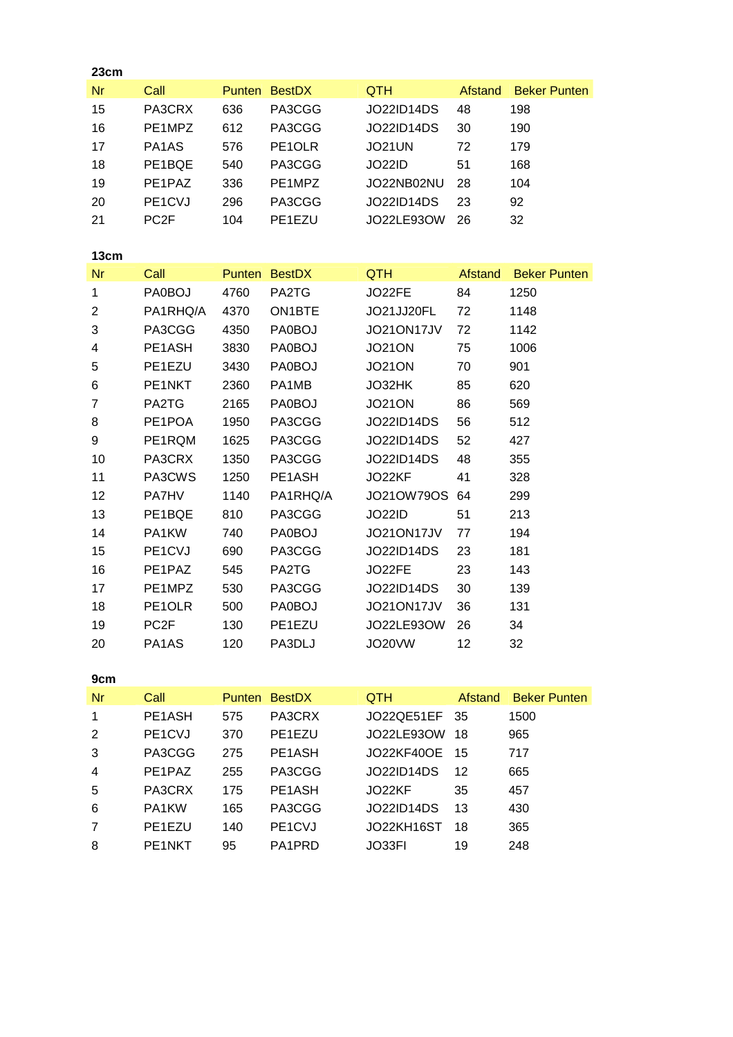| 23cm           |                   |        |               |                   |                |                     |
|----------------|-------------------|--------|---------------|-------------------|----------------|---------------------|
| Nr             | Call              | Punten | <b>BestDX</b> | QTH               | <b>Afstand</b> | <b>Beker Punten</b> |
| 15             | PA3CRX            | 636    | PA3CGG        | <b>JO22ID14DS</b> | 48             | 198                 |
| 16             | PE1MPZ            | 612    | PA3CGG        | <b>JO22ID14DS</b> | 30             | 190                 |
| 17             | PA1AS             | 576    | PE1OLR        | <b>JO21UN</b>     | 72             | 179                 |
| 18             | PE1BQE            | 540    | PA3CGG        | <b>JO22ID</b>     | 51             | 168                 |
| 19             | PE1PAZ            | 336    | PE1MPZ        | JO22NB02NU        | 28             | 104                 |
| 20             | PE1CVJ            | 296    | PA3CGG        | <b>JO22ID14DS</b> | 23             | 92                  |
| 21             | PC <sub>2F</sub>  | 104    | PE1EZU        | JO22LE93OW        | 26             | 32                  |
|                |                   |        |               |                   |                |                     |
| 13cm           |                   |        |               |                   |                |                     |
| <b>Nr</b>      | Call              |        | Punten BestDX | QTH               | Afstand        | <b>Beker Punten</b> |
| $\mathbf{1}$   | PA0BOJ            | 4760   | PA2TG         | JO22FE            | 84             | 1250                |
| $\overline{2}$ | PA1RHQ/A          | 4370   | ON1BTE        | JO21JJ20FL        | 72             | 1148                |
| 3              | PA3CGG            | 4350   | PA0BOJ        | JO21ON17JV        | 72             | 1142                |
| 4              | PE1ASH            | 3830   | PA0BOJ        | <b>JO21ON</b>     | 75             | 1006                |
| 5              | PE1EZU            | 3430   | PA0BOJ        | <b>JO21ON</b>     | 70             | 901                 |
| 6              | PE1NKT            | 2360   | PA1MB         | JO32HK            | 85             | 620                 |
| $\overline{7}$ | PA2TG             | 2165   | PA0BOJ        | <b>JO21ON</b>     | 86             | 569                 |
| 8              | PE1POA            | 1950   | PA3CGG        | <b>JO22ID14DS</b> | 56             | 512                 |
| 9              | PE1RQM            | 1625   | PA3CGG        | <b>JO22ID14DS</b> | 52             | 427                 |
| 10             | PA3CRX            | 1350   | PA3CGG        | <b>JO22ID14DS</b> | 48             | 355                 |
| 11             | PA3CWS            | 1250   | PE1ASH        | JO22KF            | 41             | 328                 |
| 12             | PA7HV             | 1140   | PA1RHQ/A      | JO21OW79OS        | 64             | 299                 |
| 13             | PE1BQE            | 810    | PA3CGG        | <b>JO22ID</b>     | 51             | 213                 |
| 14             | PA1KW             | 740    | PA0BOJ        | JO21ON17JV        | 77             | 194                 |
| 15             | PE1CVJ            | 690    | PA3CGG        | <b>JO22ID14DS</b> | 23             | 181                 |
| 16             | PE1PAZ            | 545    | PA2TG         | JO22FE            | 23             | 143                 |
| 17             | PE1MPZ            | 530    | PA3CGG        | <b>JO22ID14DS</b> | 30             | 139                 |
| 18             | PE1OLR            | 500    | PA0BOJ        | JO21ON17JV        | 36             | 131                 |
| 19             | PC <sub>2</sub> F | 130    | PE1EZU        | JO22LE93OW        | 26             | 34                  |
| 20             | PA1AS             | 120    | PA3DLJ        | JO20VW            | 12             | 32                  |
|                |                   |        |               |                   |                |                     |
| 9cm            |                   |        |               |                   |                |                     |
| <b>Nr</b>      | Call              | Punten | <b>BestDX</b> | <b>QTH</b>        | Afstand        | <b>Beker Punten</b> |
| 1              | PE1ASH            | 575    | PA3CRX        | JO22QE51EF        | 35             | 1500                |
| $\overline{c}$ | PE1CVJ            | 370    | PE1EZU        | JO22LE93OW        | 18             | 965                 |
| 3              | PA3CGG            | 275    | PE1ASH        | <b>JO22KF40OE</b> | 15             | 717                 |
| 4              | PE1PAZ            | 255    | PA3CGG        | JO22ID14DS        | 12             | 665                 |
| 5              | PA3CRX            | 175    | PE1ASH        | JO22KF            | 35             | 457                 |
| 6              | PA1KW             | 165    | PA3CGG        | <b>JO22ID14DS</b> | 13             | 430                 |

7 PE1EZU 140 PE1CVJ JO22KH16ST 18 365 8 PE1NKT 95 PA1PRD JO33FI 19 248